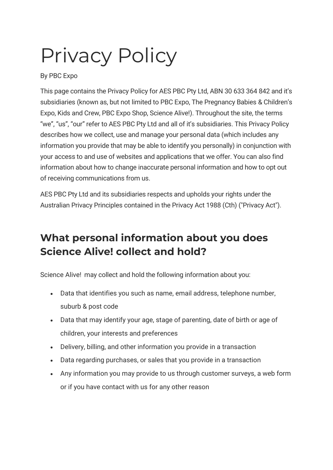# Privacy Policy

By PBC Expo

This page contains the Privacy Policy for AES PBC Pty Ltd, ABN 30 633 364 842 and it's subsidiaries (known as, but not limited to PBC Expo, The Pregnancy Babies & Children's Expo, Kids and Crew, PBC Expo Shop, Science Alive!). Throughout the site, the terms "we", "us", "our" refer to AES PBC Pty Ltd and all of it's subsidiaries. This Privacy Policy describes how we collect, use and manage your personal data (which includes any information you provide that may be able to identify you personally) in conjunction with your access to and use of websites and applications that we offer. You can also find information about how to change inaccurate personal information and how to opt out of receiving communications from us.

AES PBC Pty Ltd and its subsidiaries respects and upholds your rights under the Australian Privacy Principles contained in the Privacy Act 1988 (Cth) ("Privacy Act").

## **What personal information about you does Science Alive! collect and hold?**

Science Alive! may collect and hold the following information about you:

- Data that identifies you such as name, email address, telephone number, suburb & post code
- Data that may identify your age, stage of parenting, date of birth or age of children, your interests and preferences
- Delivery, billing, and other information you provide in a transaction
- Data regarding purchases, or sales that you provide in a transaction
- Any information you may provide to us through customer surveys, a web form or if you have contact with us for any other reason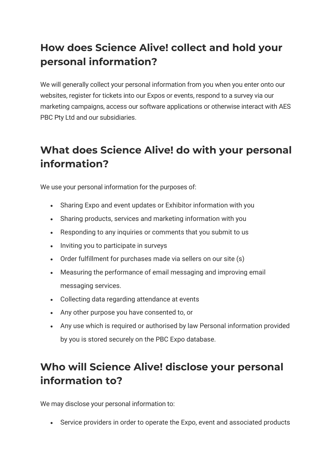## **How does Science Alive! collect and hold your personal information?**

We will generally collect your personal information from you when you enter onto our websites, register for tickets into our Expos or events, respond to a survey via our marketing campaigns, access our software applications or otherwise interact with AES PBC Pty Ltd and our subsidiaries.

## **What does Science Alive! do with your personal information?**

We use your personal information for the purposes of:

- Sharing Expo and event updates or Exhibitor information with you
- Sharing products, services and marketing information with you
- Responding to any inquiries or comments that you submit to us
- Inviting you to participate in surveys
- Order fulfillment for purchases made via sellers on our site (s)
- Measuring the performance of email messaging and improving email messaging services.
- Collecting data regarding attendance at events
- Any other purpose you have consented to, or
- Any use which is required or authorised by law Personal information provided by you is stored securely on the PBC Expo database.

## **Who will Science Alive! disclose your personal information to?**

We may disclose your personal information to:

• Service providers in order to operate the Expo, event and associated products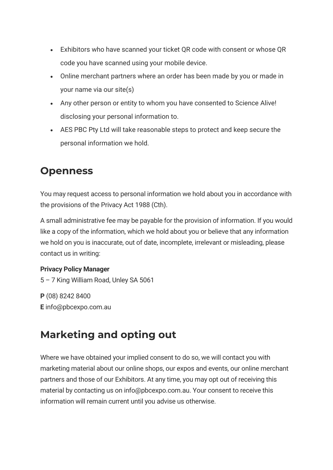- Exhibitors who have scanned your ticket QR code with consent or whose QR code you have scanned using your mobile device.
- Online merchant partners where an order has been made by you or made in your name via our site(s)
- Any other person or entity to whom you have consented to Science Alive! disclosing your personal information to.
- AES PBC Pty Ltd will take reasonable steps to protect and keep secure the personal information we hold.

### **Openness**

You may request access to personal information we hold about you in accordance with the provisions of the Privacy Act 1988 (Cth).

A small administrative fee may be payable for the provision of information. If you would like a copy of the information, which we hold about you or believe that any information we hold on you is inaccurate, out of date, incomplete, irrelevant or misleading, please contact us in writing:

#### **Privacy Policy Manager**

5 – 7 King William Road, Unley SA 5061

**P** (08) 8242 8400 **E** info@pbcexpo.com.au

## **Marketing and opting out**

Where we have obtained your implied consent to do so, we will contact you with marketing material about our online shops, our expos and events, our online merchant partners and those of our Exhibitors. At any time, you may opt out of receiving this material by contacting us on info@pbcexpo.com.au. Your consent to receive this information will remain current until you advise us otherwise.